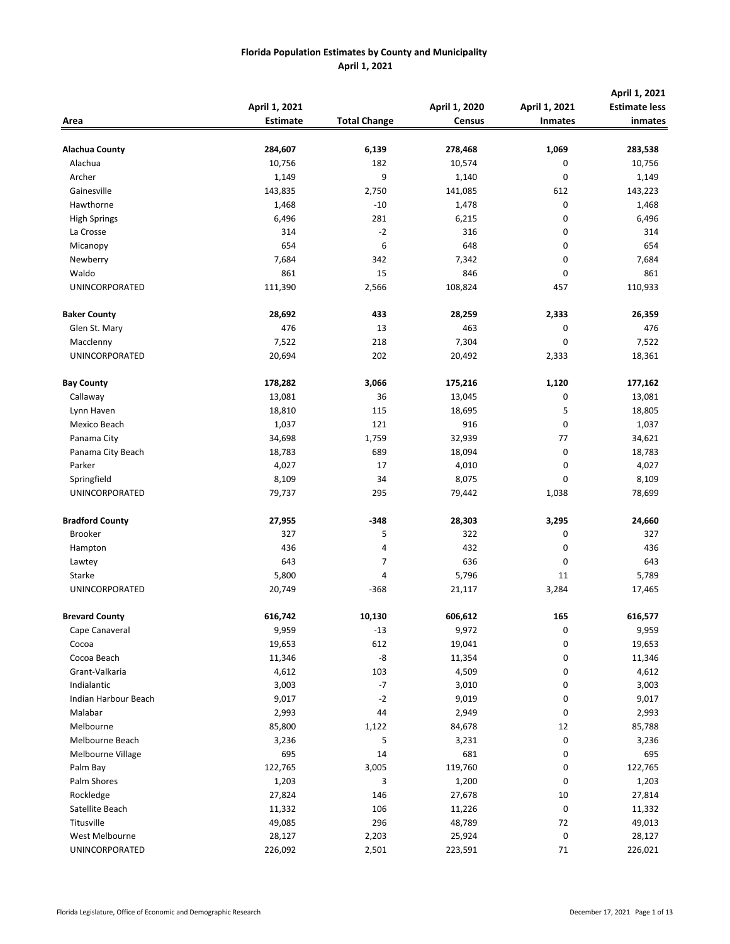|                        | April 1, 2021   |                     | April 1, 2020 | April 1, 2021  | April 1, 2021<br><b>Estimate less</b> |
|------------------------|-----------------|---------------------|---------------|----------------|---------------------------------------|
| Area                   | <b>Estimate</b> | <b>Total Change</b> | <b>Census</b> | <b>Inmates</b> | inmates                               |
|                        |                 |                     |               |                |                                       |
| Alachua County         | 284,607         | 6,139               | 278,468       | 1,069          | 283,538                               |
| Alachua                | 10,756          | 182                 | 10,574        | 0              | 10,756                                |
| Archer                 | 1,149           | 9                   | 1,140         | 0              | 1,149                                 |
| Gainesville            | 143,835         | 2,750               | 141,085       | 612            | 143,223                               |
| Hawthorne              | 1,468           | $-10$               | 1,478         | 0              | 1,468                                 |
| <b>High Springs</b>    | 6,496           | 281                 | 6,215         | 0              | 6,496                                 |
| La Crosse              | 314             | $-2$                | 316           | 0              | 314                                   |
| Micanopy               | 654             | 6                   | 648           | 0              | 654                                   |
| Newberry               | 7,684           | 342                 | 7,342         | 0              | 7,684                                 |
| Waldo                  | 861             | 15                  | 846           | 0              | 861                                   |
| UNINCORPORATED         | 111,390         | 2,566               | 108,824       | 457            | 110,933                               |
| <b>Baker County</b>    | 28,692          | 433                 | 28,259        | 2,333          | 26,359                                |
| Glen St. Mary          | 476             | 13                  | 463           | 0              | 476                                   |
| Macclenny              | 7,522           | 218                 | 7,304         | 0              | 7,522                                 |
| UNINCORPORATED         | 20,694          | 202                 | 20,492        | 2,333          | 18,361                                |
| <b>Bay County</b>      | 178,282         | 3,066               | 175,216       | 1,120          | 177,162                               |
| Callaway               | 13,081          | 36                  | 13,045        | 0              | 13,081                                |
| Lynn Haven             | 18,810          | 115                 | 18,695        | 5              | 18,805                                |
| Mexico Beach           | 1,037           | 121                 | 916           | 0              | 1,037                                 |
| Panama City            | 34,698          | 1,759               | 32,939        | 77             | 34,621                                |
| Panama City Beach      | 18,783          | 689                 | 18,094        | 0              | 18,783                                |
| Parker                 | 4,027           | 17                  | 4,010         | 0              | 4,027                                 |
| Springfield            | 8,109           | 34                  | 8,075         | 0              | 8,109                                 |
| UNINCORPORATED         | 79,737          | 295                 | 79,442        | 1,038          | 78,699                                |
| <b>Bradford County</b> | 27,955          | $-348$              | 28,303        | 3,295          | 24,660                                |
| <b>Brooker</b>         | 327             | 5                   | 322           | 0              | 327                                   |
| Hampton                | 436             | 4                   | 432           | 0              | 436                                   |
| Lawtey                 | 643             | 7                   | 636           | 0              | 643                                   |
| Starke                 | 5,800           | 4                   | 5,796         | 11             | 5,789                                 |
| UNINCORPORATED         | 20,749          | -368                | 21,117        | 3,284          | 17,465                                |
| <b>Brevard County</b>  | 616,742         | 10,130              | 606,612       | 165            | 616,577                               |
| Cape Canaveral         | 9,959           | $-13$               | 9,972         | 0              | 9,959                                 |
| Cocoa                  | 19,653          | 612                 | 19,041        | 0              | 19,653                                |
| Cocoa Beach            | 11,346          | -8                  | 11,354        | 0              | 11,346                                |
| Grant-Valkaria         | 4,612           | 103                 | 4,509         | 0              | 4,612                                 |
| Indialantic            | 3,003           | $-7$                | 3,010         | 0              | 3,003                                 |
| Indian Harbour Beach   | 9,017           | $-2$                | 9,019         | 0              | 9,017                                 |
| Malabar                | 2,993           | 44                  | 2,949         | 0              | 2,993                                 |
| Melbourne              | 85,800          | 1,122               | 84,678        | 12             | 85,788                                |
| Melbourne Beach        | 3,236           | 5                   | 3,231         | $\pmb{0}$      | 3,236                                 |
| Melbourne Village      | 695             | 14                  | 681           | 0              | 695                                   |
| Palm Bay               | 122,765         | 3,005               | 119,760       | 0              | 122,765                               |
| Palm Shores            | 1,203           | 3                   | 1,200         | 0              | 1,203                                 |
| Rockledge              | 27,824          | 146                 | 27,678        | 10             | 27,814                                |
| Satellite Beach        | 11,332          | 106                 | 11,226        | 0              | 11,332                                |
| Titusville             | 49,085          | 296                 | 48,789        | 72             | 49,013                                |
| West Melbourne         | 28,127          | 2,203               | 25,924        | 0              | 28,127                                |
| UNINCORPORATED         | 226,092         | 2,501               | 223,591       | 71             | 226,021                               |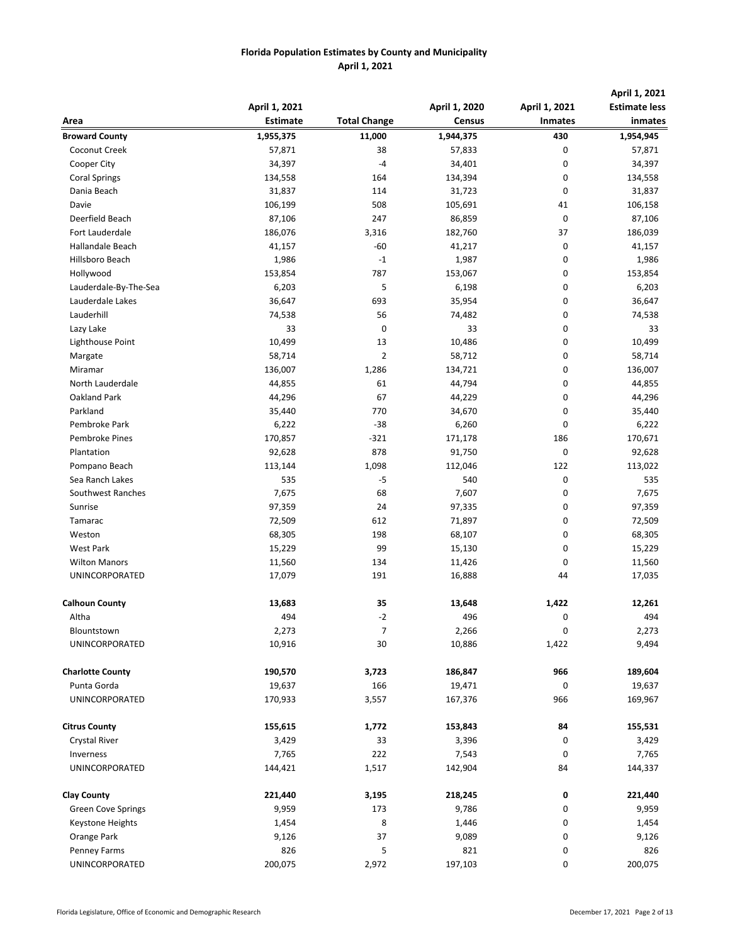|                           | April 1, 2021   |                     | April 1, 2020 | April 1, 2021  | April 1, 2021<br><b>Estimate less</b> |
|---------------------------|-----------------|---------------------|---------------|----------------|---------------------------------------|
| Area                      | <b>Estimate</b> | <b>Total Change</b> | <b>Census</b> | <b>Inmates</b> | inmates                               |
| <b>Broward County</b>     | 1,955,375       | 11,000              | 1,944,375     | 430            | 1,954,945                             |
| Coconut Creek             | 57,871          | 38                  | 57,833        | 0              | 57,871                                |
| Cooper City               | 34,397          | $-4$                | 34,401        | 0              | 34,397                                |
| <b>Coral Springs</b>      | 134,558         | 164                 | 134,394       | 0              | 134,558                               |
| Dania Beach               | 31,837          | 114                 | 31,723        | 0              | 31,837                                |
| Davie                     | 106,199         | 508                 | 105,691       | 41             | 106,158                               |
| Deerfield Beach           | 87,106          | 247                 | 86,859        | 0              | 87,106                                |
| Fort Lauderdale           | 186,076         | 3,316               | 182,760       | 37             | 186,039                               |
| <b>Hallandale Beach</b>   | 41,157          | $-60$               | 41,217        | 0              | 41,157                                |
| Hillsboro Beach           | 1,986           | $-1$                | 1,987         | 0              | 1,986                                 |
| Hollywood                 | 153,854         | 787                 | 153,067       | 0              | 153,854                               |
| Lauderdale-By-The-Sea     | 6,203           | 5                   | 6,198         | 0              | 6,203                                 |
| Lauderdale Lakes          | 36,647          | 693                 | 35,954        | 0              | 36,647                                |
| Lauderhill                | 74,538          | 56                  | 74,482        | 0              | 74,538                                |
| Lazy Lake                 | 33              | 0                   | 33            | 0              | 33                                    |
| Lighthouse Point          | 10,499          | 13                  | 10,486        | 0              | 10,499                                |
| Margate                   | 58,714          | 2                   | 58,712        | 0              | 58,714                                |
| Miramar                   | 136,007         | 1,286               | 134,721       | 0              | 136,007                               |
| North Lauderdale          | 44,855          | 61                  | 44,794        | 0              | 44,855                                |
| Oakland Park              | 44,296          | 67                  | 44,229        | 0              | 44,296                                |
| Parkland                  | 35,440          | 770                 | 34,670        | 0              | 35,440                                |
| Pembroke Park             | 6,222           | $-38$               | 6,260         | 0              | 6,222                                 |
| <b>Pembroke Pines</b>     | 170,857         | -321                | 171,178       | 186            | 170,671                               |
| Plantation                | 92,628          | 878                 | 91,750        | 0              | 92,628                                |
| Pompano Beach             | 113,144         | 1,098               | 112,046       | 122            | 113,022                               |
| Sea Ranch Lakes           | 535             | $-5$                | 540           | 0              | 535                                   |
| Southwest Ranches         | 7,675           | 68                  | 7,607         | 0              | 7,675                                 |
| Sunrise                   | 97,359          | 24                  | 97,335        | 0              | 97,359                                |
| Tamarac                   | 72,509          | 612                 | 71,897        | 0              | 72,509                                |
| Weston                    | 68,305          | 198                 | 68,107        | 0              | 68,305                                |
| <b>West Park</b>          | 15,229          | 99                  | 15,130        | 0              | 15,229                                |
| <b>Wilton Manors</b>      | 11,560          | 134                 | 11,426        | 0              | 11,560                                |
| UNINCORPORATED            | 17,079          | 191                 | 16,888        | 44             | 17,035                                |
| <b>Calhoun County</b>     | 13,683          | 35                  | 13,648        | 1,422          | 12,261                                |
| Altha                     | 494             | $-2$                | 496           | 0              | 494                                   |
| Blountstown               | 2,273           | 7                   | 2,266         | 0              | 2,273                                 |
| <b>UNINCORPORATED</b>     | 10,916          | 30                  | 10,886        | 1,422          | 9,494                                 |
| <b>Charlotte County</b>   | 190,570         | 3,723               | 186,847       | 966            | 189,604                               |
| Punta Gorda               | 19,637          | 166                 | 19,471        | 0              | 19,637                                |
| UNINCORPORATED            | 170,933         | 3,557               | 167,376       | 966            | 169,967                               |
| <b>Citrus County</b>      | 155,615         | 1,772               | 153,843       | 84             | 155,531                               |
| Crystal River             | 3,429           | 33                  | 3,396         | 0              | 3,429                                 |
| Inverness                 | 7,765           | 222                 | 7,543         | 0              | 7,765                                 |
| UNINCORPORATED            | 144,421         | 1,517               | 142,904       | 84             | 144,337                               |
| <b>Clay County</b>        | 221,440         | 3,195               | 218,245       | 0              | 221,440                               |
| <b>Green Cove Springs</b> | 9,959           | 173                 | 9,786         | 0              | 9,959                                 |
| Keystone Heights          | 1,454           | 8                   | 1,446         | 0              | 1,454                                 |
| Orange Park               | 9,126           | 37                  | 9,089         | 0              | 9,126                                 |
| Penney Farms              | 826             | 5                   | 821           | 0              | 826                                   |
| UNINCORPORATED            | 200,075         | 2,972               | 197,103       | 0              | 200,075                               |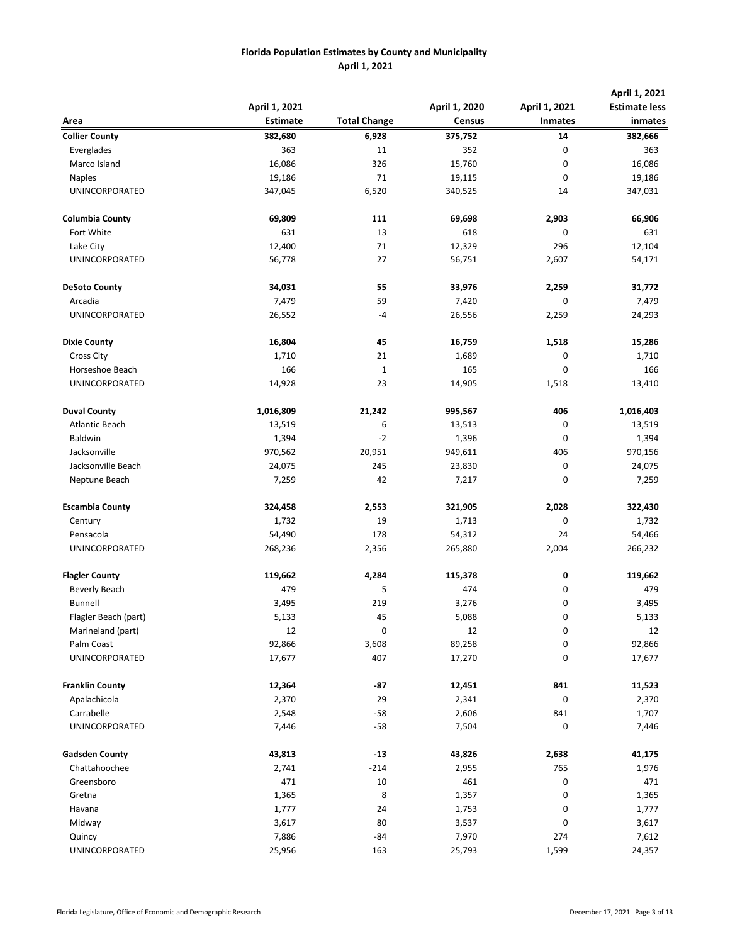|                        |                 |                     | April 1, 2020 |                | April 1, 2021<br><b>Estimate less</b> |
|------------------------|-----------------|---------------------|---------------|----------------|---------------------------------------|
|                        | April 1, 2021   |                     |               | April 1, 2021  |                                       |
| Area                   | <b>Estimate</b> | <b>Total Change</b> | <b>Census</b> | <b>Inmates</b> | inmates                               |
| <b>Collier County</b>  | 382,680         | 6,928               | 375,752       | 14             | 382,666                               |
| Everglades             | 363             | 11                  | 352           | 0              | 363                                   |
| Marco Island           | 16,086          | 326                 | 15,760        | 0              | 16,086                                |
| <b>Naples</b>          | 19,186          | 71                  | 19,115        | 0              | 19,186                                |
| UNINCORPORATED         | 347,045         | 6,520               | 340,525       | 14             | 347,031                               |
|                        |                 |                     |               |                |                                       |
| <b>Columbia County</b> | 69,809          | 111                 | 69,698        | 2,903          | 66,906                                |
| Fort White             | 631             | 13                  | 618           | 0              | 631                                   |
| Lake City              | 12,400          | 71                  | 12,329        | 296            | 12,104                                |
| <b>UNINCORPORATED</b>  | 56,778          | 27                  | 56,751        | 2,607          | 54,171                                |
|                        |                 |                     |               |                |                                       |
| <b>DeSoto County</b>   | 34,031          | 55                  | 33,976        | 2,259          | 31,772                                |
| Arcadia                | 7,479           | 59                  | 7,420         | 0              | 7,479                                 |
| UNINCORPORATED         | 26,552          | -4                  | 26,556        | 2,259          | 24,293                                |
|                        |                 |                     |               |                |                                       |
| <b>Dixie County</b>    | 16,804          | 45                  | 16,759        | 1,518          | 15,286                                |
| <b>Cross City</b>      | 1,710           | 21                  | 1,689         | 0              | 1,710                                 |
| Horseshoe Beach        | 166             | $\mathbf 1$         | 165           | 0              | 166                                   |
| UNINCORPORATED         | 14,928          | 23                  | 14,905        | 1,518          | 13,410                                |
| <b>Duval County</b>    | 1,016,809       | 21,242              | 995,567       | 406            | 1,016,403                             |
| <b>Atlantic Beach</b>  | 13,519          | 6                   | 13,513        | 0              | 13,519                                |
| Baldwin                | 1,394           | $-2$                | 1,396         | 0              | 1,394                                 |
| Jacksonville           |                 |                     | 949,611       |                | 970,156                               |
|                        | 970,562         | 20,951              |               | 406            |                                       |
| Jacksonville Beach     | 24,075          | 245                 | 23,830        | 0              | 24,075                                |
| Neptune Beach          | 7,259           | 42                  | 7,217         | 0              | 7,259                                 |
| <b>Escambia County</b> | 324,458         | 2,553               | 321,905       | 2,028          | 322,430                               |
| Century                | 1,732           | 19                  | 1,713         | 0              | 1,732                                 |
| Pensacola              | 54,490          | 178                 | 54,312        | 24             | 54,466                                |
| UNINCORPORATED         | 268,236         | 2,356               | 265,880       | 2,004          | 266,232                               |
|                        |                 |                     |               |                |                                       |
| <b>Flagler County</b>  | 119,662         | 4,284               | 115,378       | 0              | 119,662                               |
| <b>Beverly Beach</b>   | 479             | 5                   | 474           | 0              | 479                                   |
| <b>Bunnell</b>         | 3,495           | 219                 | 3,276         | 0              | 3,495                                 |
| Flagler Beach (part)   | 5,133           | 45                  | 5,088         | 0              | 5,133                                 |
| Marineland (part)      | 12              | 0                   | 12            | 0              | 12                                    |
| Palm Coast             | 92,866          | 3,608               | 89,258        | 0              | 92,866                                |
| <b>UNINCORPORATED</b>  | 17,677          | 407                 | 17,270        | 0              | 17,677                                |
| <b>Franklin County</b> |                 | $-87$               |               | 841            |                                       |
|                        | 12,364          |                     | 12,451        |                | 11,523                                |
| Apalachicola           | 2,370           | 29                  | 2,341         | 0              | 2,370                                 |
| Carrabelle             | 2,548           | $-58$               | 2,606         | 841            | 1,707                                 |
| UNINCORPORATED         | 7,446           | $-58$               | 7,504         | 0              | 7,446                                 |
| <b>Gadsden County</b>  | 43,813          | $-13$               | 43,826        | 2,638          | 41,175                                |
| Chattahoochee          | 2,741           | $-214$              | 2,955         | 765            | 1,976                                 |
| Greensboro             | 471             | 10                  | 461           | 0              | 471                                   |
| Gretna                 | 1,365           | 8                   | 1,357         | 0              | 1,365                                 |
| Havana                 | 1,777           | 24                  | 1,753         | 0              | 1,777                                 |
| Midway                 | 3,617           | 80                  | 3,537         | 0              | 3,617                                 |
| Quincy                 | 7,886           | $-84$               | 7,970         | 274            | 7,612                                 |
| UNINCORPORATED         | 25,956          | 163                 | 25,793        | 1,599          | 24,357                                |
|                        |                 |                     |               |                |                                       |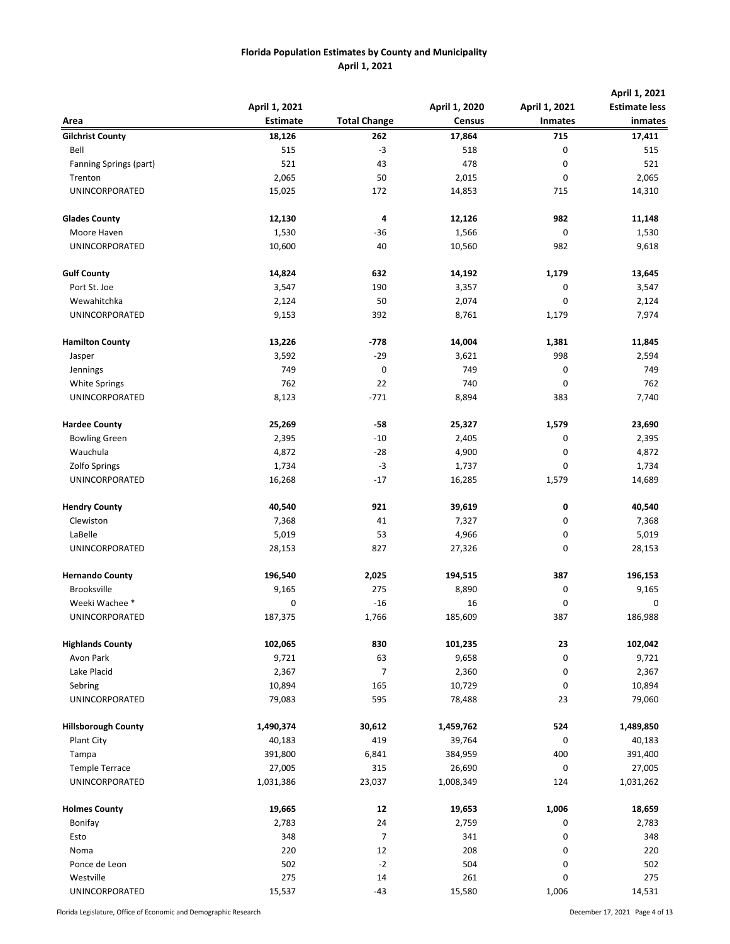|                                         |                 |                     |               |                | April 1, 2021        |
|-----------------------------------------|-----------------|---------------------|---------------|----------------|----------------------|
|                                         | April 1, 2021   |                     | April 1, 2020 | April 1, 2021  | <b>Estimate less</b> |
| Area                                    | <b>Estimate</b> | <b>Total Change</b> | <b>Census</b> | <b>Inmates</b> | inmates              |
| <b>Gilchrist County</b>                 | 18,126          | 262                 | 17,864        | 715            | 17,411               |
| Bell                                    | 515             | $-3$                | 518           | 0              | 515                  |
| Fanning Springs (part)                  | 521             | 43                  | 478           | 0              | 521                  |
| Trenton                                 | 2,065           | 50                  | 2,015         | 0              | 2,065                |
| UNINCORPORATED                          | 15,025          | 172                 | 14,853        | 715            | 14,310               |
| <b>Glades County</b>                    | 12,130          | 4                   | 12,126        | 982            | 11,148               |
| Moore Haven                             | 1,530           | $-36$               | 1,566         | 0              | 1,530                |
| UNINCORPORATED                          | 10,600          | 40                  | 10,560        | 982            | 9,618                |
| <b>Gulf County</b>                      | 14,824          | 632                 | 14,192        | 1,179          | 13,645               |
| Port St. Joe                            | 3,547           | 190                 | 3,357         | 0              | 3,547                |
| Wewahitchka                             | 2,124           | 50                  | 2,074         | 0              | 2,124                |
| UNINCORPORATED                          | 9,153           | 392                 | 8,761         | 1,179          | 7,974                |
| <b>Hamilton County</b>                  | 13,226          | $-778$              | 14,004        | 1,381          | 11,845               |
| Jasper                                  | 3,592           | $-29$               | 3,621         | 998            | 2,594                |
| Jennings                                | 749             | 0                   | 749           | 0              | 749                  |
| White Springs                           | 762             | 22                  | 740           | 0              | 762                  |
| UNINCORPORATED                          | 8,123           | $-771$              | 8,894         | 383            | 7,740                |
| <b>Hardee County</b>                    | 25,269          | -58                 | 25,327        | 1,579          | 23,690               |
| <b>Bowling Green</b>                    | 2,395           | $-10$               | 2,405         | 0              | 2,395                |
| Wauchula                                | 4,872           | $-28$               | 4,900         | 0              | 4,872                |
| Zolfo Springs                           | 1,734           | $-3$                | 1,737         | 0              | 1,734                |
| UNINCORPORATED                          | 16,268          | $-17$               | 16,285        | 1,579          | 14,689               |
| <b>Hendry County</b>                    | 40,540          | 921                 | 39,619        | 0              | 40,540               |
| Clewiston                               | 7,368           | 41                  | 7,327         | 0              | 7,368                |
| LaBelle                                 | 5,019           | 53                  | 4,966         | 0              | 5,019                |
| UNINCORPORATED                          | 28,153          | 827                 | 27,326        | 0              | 28,153               |
| <b>Hernando County</b>                  | 196,540         | 2,025               | 194,515       | 387            | 196,153              |
| Brooksville                             | 9,165           | 275                 | 8,890         | 0              | 9,165                |
| Weeki Wachee *                          | 0               | $-16$               | 16            | 0              | 0                    |
| UNINCORPORATED                          | 187,375         | 1,766               | 185,609       | 387            | 186,988              |
| <b>Highlands County</b>                 | 102,065         | 830                 | 101,235       | 23             | 102,042              |
| Avon Park                               | 9,721           | 63                  | 9,658         | 0              | 9,721                |
| Lake Placid                             | 2,367           | 7                   | 2,360         | 0              | 2,367                |
| Sebring                                 | 10,894          | 165                 | 10,729        | 0              | 10,894               |
| <b>UNINCORPORATED</b>                   | 79,083          | 595                 | 78,488        | 23             | 79,060               |
| <b>Hillsborough County</b>              | 1,490,374       | 30,612              | 1,459,762     | 524            | 1,489,850            |
| Plant City                              | 40,183          | 419                 | 39,764        | 0              | 40,183               |
| Tampa                                   | 391,800         | 6,841               | 384,959       | 400            | 391,400              |
|                                         | 27,005          | 315                 | 26,690        | 0              | 27,005               |
| <b>Temple Terrace</b><br>UNINCORPORATED |                 |                     |               |                |                      |
|                                         | 1,031,386       | 23,037              | 1,008,349     | 124            | 1,031,262            |
| <b>Holmes County</b>                    | 19,665          | 12                  | 19,653        | 1,006          | 18,659               |
| Bonifay                                 | 2,783           | 24                  | 2,759         | 0              | 2,783                |
| Esto                                    | 348             | 7                   | 341           | 0              | 348                  |
| Noma                                    | 220             | 12                  | 208           | 0              | 220                  |
| Ponce de Leon                           | 502             | $-2$                | 504           | 0              | 502                  |
| Westville                               | 275             | 14                  | 261           | 0              | 275                  |
| UNINCORPORATED                          | 15,537          | $-43$               | 15,580        | 1,006          | 14,531               |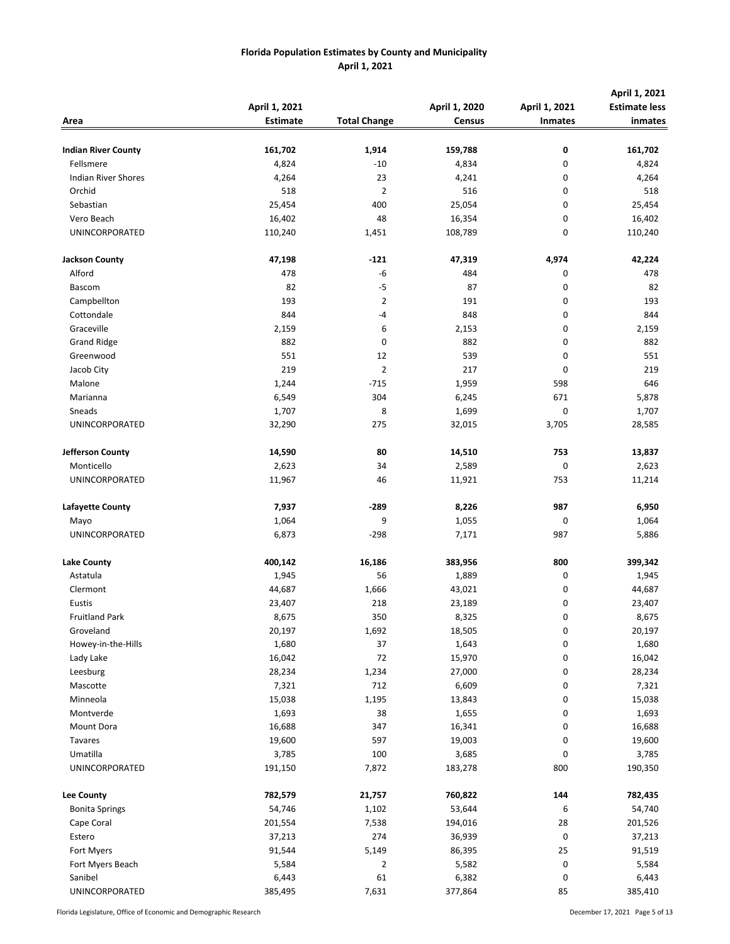| Area                       | April 1, 2021<br><b>Estimate</b> | <b>Total Change</b> | April 1, 2020<br><b>Census</b> | April 1, 2021<br><b>Inmates</b> | April 1, 2021<br><b>Estimate less</b><br>inmates |
|----------------------------|----------------------------------|---------------------|--------------------------------|---------------------------------|--------------------------------------------------|
| <b>Indian River County</b> | 161,702                          | 1,914               | 159,788                        | 0                               | 161,702                                          |
| Fellsmere                  | 4,824                            | $-10$               | 4,834                          | 0                               | 4,824                                            |
| <b>Indian River Shores</b> | 4,264                            | 23                  | 4,241                          | 0                               | 4,264                                            |
| Orchid                     | 518                              | $\overline{2}$      | 516                            | 0                               | 518                                              |
| Sebastian                  | 25,454                           | 400                 | 25,054                         | 0                               | 25,454                                           |
| Vero Beach                 | 16,402                           | 48                  | 16,354                         | 0                               | 16,402                                           |
| UNINCORPORATED             | 110,240                          | 1,451               | 108,789                        | 0                               | 110,240                                          |
| <b>Jackson County</b>      | 47,198                           | $-121$              | 47,319                         | 4,974                           | 42,224                                           |
| Alford                     | 478                              | $-6$                | 484                            | 0                               | 478                                              |
| Bascom                     | 82                               | $-5$                | 87                             | 0                               | 82                                               |
| Campbellton                | 193                              | 2                   | 191                            | 0                               | 193                                              |
| Cottondale                 | 844                              | -4                  | 848                            | 0                               | 844                                              |
| Graceville                 | 2,159                            | 6                   | 2,153                          | 0                               | 2,159                                            |
| <b>Grand Ridge</b>         | 882                              | 0                   | 882                            | 0                               | 882                                              |
| Greenwood                  | 551                              | 12                  | 539                            | 0                               | 551                                              |
| Jacob City                 | 219                              | $\mathbf{2}$        | 217                            | 0                               | 219                                              |
| Malone                     | 1,244                            | $-715$              | 1,959                          | 598                             | 646                                              |
| Marianna                   | 6,549                            | 304                 | 6,245                          | 671                             | 5,878                                            |
| Sneads                     | 1,707                            | 8                   | 1,699                          | $\mathbf 0$                     | 1,707                                            |
| UNINCORPORATED             | 32,290                           | 275                 | 32,015                         | 3,705                           | 28,585                                           |
| Jefferson County           | 14,590                           | 80                  | 14,510                         | 753                             | 13,837                                           |
| Monticello                 | 2,623                            | 34                  | 2,589                          | 0                               | 2,623                                            |
| UNINCORPORATED             | 11,967                           | 46                  | 11,921                         | 753                             | 11,214                                           |
| Lafayette County           | 7,937                            | $-289$              | 8,226                          | 987                             | 6,950                                            |
| Mayo                       | 1,064                            | 9                   | 1,055                          | 0                               | 1,064                                            |
| UNINCORPORATED             | 6,873                            | $-298$              | 7,171                          | 987                             | 5,886                                            |
| <b>Lake County</b>         | 400,142                          | 16,186              | 383,956                        | 800                             | 399,342                                          |
| Astatula                   | 1,945                            | 56                  | 1,889                          | 0                               | 1,945                                            |
| Clermont                   | 44,687                           | 1,666               | 43,021                         | 0                               | 44,687                                           |
| Eustis                     | 23,407                           | 218                 | 23,189                         | 0                               | 23,407                                           |
| <b>Fruitland Park</b>      | 8,675                            | 350                 | 8,325                          | 0                               | 8,675                                            |
| Groveland                  | 20,197                           | 1,692               | 18,505                         | 0                               | 20,197                                           |
| Howey-in-the-Hills         | 1,680                            | 37                  | 1,643                          | 0                               | 1,680                                            |
| Lady Lake                  | 16,042                           | 72                  | 15,970                         | 0                               | 16,042                                           |
| Leesburg                   | 28,234                           | 1,234               | 27,000                         | 0                               | 28,234                                           |
| Mascotte                   | 7,321                            | 712                 | 6,609                          | 0                               | 7,321                                            |
| Minneola                   | 15,038                           | 1,195               | 13,843                         | 0                               | 15,038                                           |
| Montverde                  | 1,693                            | 38                  | 1,655                          | 0                               | 1,693                                            |
| Mount Dora                 | 16,688                           | 347                 | 16,341                         | 0                               | 16,688                                           |
| Tavares                    | 19,600                           | 597                 | 19,003                         | 0                               | 19,600                                           |
| Umatilla                   | 3,785                            | 100                 | 3,685                          | $\pmb{0}$                       | 3,785                                            |
| UNINCORPORATED             | 191,150                          | 7,872               | 183,278                        | 800                             | 190,350                                          |
| Lee County                 | 782,579                          | 21,757              | 760,822                        | 144                             | 782,435                                          |
| <b>Bonita Springs</b>      | 54,746                           | 1,102               | 53,644                         | 6                               | 54,740                                           |
| Cape Coral                 | 201,554                          | 7,538               | 194,016                        | 28                              | 201,526                                          |
| Estero                     | 37,213                           | 274                 | 36,939                         | 0                               | 37,213                                           |
| Fort Myers                 | 91,544                           | 5,149               | 86,395                         | 25                              | 91,519                                           |
| Fort Myers Beach           | 5,584                            | 2                   | 5,582                          | $\pmb{0}$                       | 5,584                                            |
| Sanibel                    | 6,443                            | 61                  | 6,382                          | 0                               | 6,443                                            |
| UNINCORPORATED             | 385,495                          | 7,631               | 377,864                        | 85                              | 385,410                                          |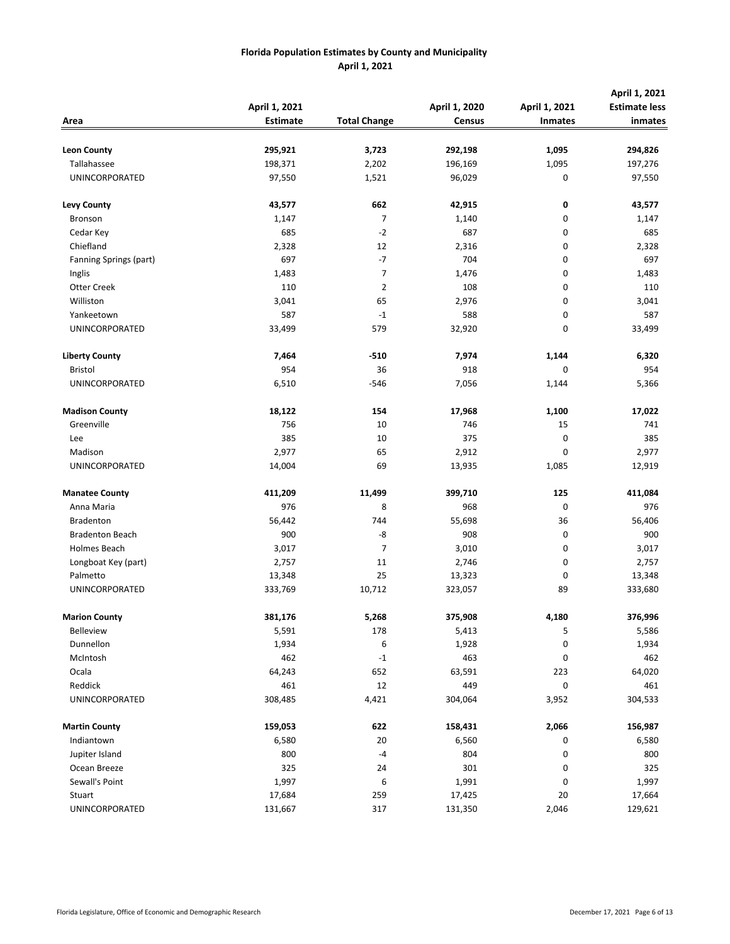|                        | April 1, 2021   |                     | April 1, 2020 | April 1, 2021  | April 1, 2021<br><b>Estimate less</b> |
|------------------------|-----------------|---------------------|---------------|----------------|---------------------------------------|
| Area                   | <b>Estimate</b> | <b>Total Change</b> | <b>Census</b> | <b>Inmates</b> | inmates                               |
|                        |                 |                     |               |                |                                       |
| <b>Leon County</b>     | 295,921         | 3,723               | 292,198       | 1,095          | 294,826                               |
| Tallahassee            | 198,371         | 2,202               | 196,169       | 1,095          | 197,276                               |
| UNINCORPORATED         | 97,550          | 1,521               | 96,029        | 0              | 97,550                                |
| <b>Levy County</b>     | 43,577          | 662                 | 42,915        | 0              | 43,577                                |
| Bronson                | 1,147           | 7                   | 1,140         | 0              | 1,147                                 |
| Cedar Key              | 685             | $-2$                | 687           | 0              | 685                                   |
| Chiefland              | 2,328           | 12                  | 2,316         | 0              | 2,328                                 |
| Fanning Springs (part) | 697             | $-7$                | 704           | 0              | 697                                   |
| Inglis                 | 1,483           | $\overline{7}$      | 1,476         | 0              | 1,483                                 |
| Otter Creek            | 110             | $\mathbf{2}$        | 108           | 0              | 110                                   |
| Williston              | 3,041           | 65                  | 2,976         | 0              | 3,041                                 |
| Yankeetown             | 587             | $-1$                | 588           | 0              | 587                                   |
| UNINCORPORATED         | 33,499          | 579                 | 32,920        | 0              | 33,499                                |
| <b>Liberty County</b>  | 7,464           | $-510$              | 7,974         | 1,144          | 6,320                                 |
| <b>Bristol</b>         | 954             | 36                  | 918           | 0              | 954                                   |
| UNINCORPORATED         | 6,510           | $-546$              | 7,056         | 1,144          | 5,366                                 |
| <b>Madison County</b>  | 18,122          | 154                 | 17,968        | 1,100          | 17,022                                |
| Greenville             | 756             | 10                  | 746           | 15             | 741                                   |
| Lee                    | 385             | 10                  | 375           | 0              | 385                                   |
| Madison                | 2,977           | 65                  | 2,912         | 0              | 2,977                                 |
| UNINCORPORATED         | 14,004          | 69                  | 13,935        | 1,085          | 12,919                                |
| <b>Manatee County</b>  | 411,209         | 11,499              | 399,710       | 125            | 411,084                               |
| Anna Maria             | 976             | 8                   | 968           | 0              | 976                                   |
| <b>Bradenton</b>       | 56,442          | 744                 | 55,698        | 36             | 56,406                                |
| <b>Bradenton Beach</b> | 900             | -8                  | 908           | 0              | 900                                   |
| Holmes Beach           | 3,017           | $\overline{7}$      | 3,010         | 0              | 3,017                                 |
| Longboat Key (part)    | 2,757           | 11                  | 2,746         | 0              | 2,757                                 |
| Palmetto               | 13,348          | 25                  | 13,323        | 0              | 13,348                                |
| UNINCORPORATED         | 333,769         | 10,712              | 323,057       | 89             | 333,680                               |
| <b>Marion County</b>   | 381,176         | 5,268               | 375,908       | 4,180          | 376,996                               |
| Belleview              | 5,591           | 178                 | 5,413         | 5              | 5,586                                 |
| Dunnellon              | 1,934           | 6                   | 1,928         | 0              | 1,934                                 |
| McIntosh               | 462             | $-1$                | 463           | 0              | 462                                   |
| Ocala                  | 64,243          | 652                 | 63,591        | 223            | 64,020                                |
| Reddick                | 461             | 12                  | 449           | $\pmb{0}$      | 461                                   |
| UNINCORPORATED         | 308,485         | 4,421               | 304,064       | 3,952          | 304,533                               |
| <b>Martin County</b>   | 159,053         | 622                 | 158,431       | 2,066          | 156,987                               |
| Indiantown             | 6,580           | 20                  | 6,560         | 0              | 6,580                                 |
| Jupiter Island         | 800             | $-4$                | 804           | 0              | 800                                   |
| Ocean Breeze           | 325             | 24                  | 301           | 0              | 325                                   |
| Sewall's Point         | 1,997           | 6                   | 1,991         | 0              | 1,997                                 |
| Stuart                 | 17,684          | 259                 | 17,425        | 20             | 17,664                                |
| UNINCORPORATED         | 131,667         | 317                 | 131,350       | 2,046          | 129,621                               |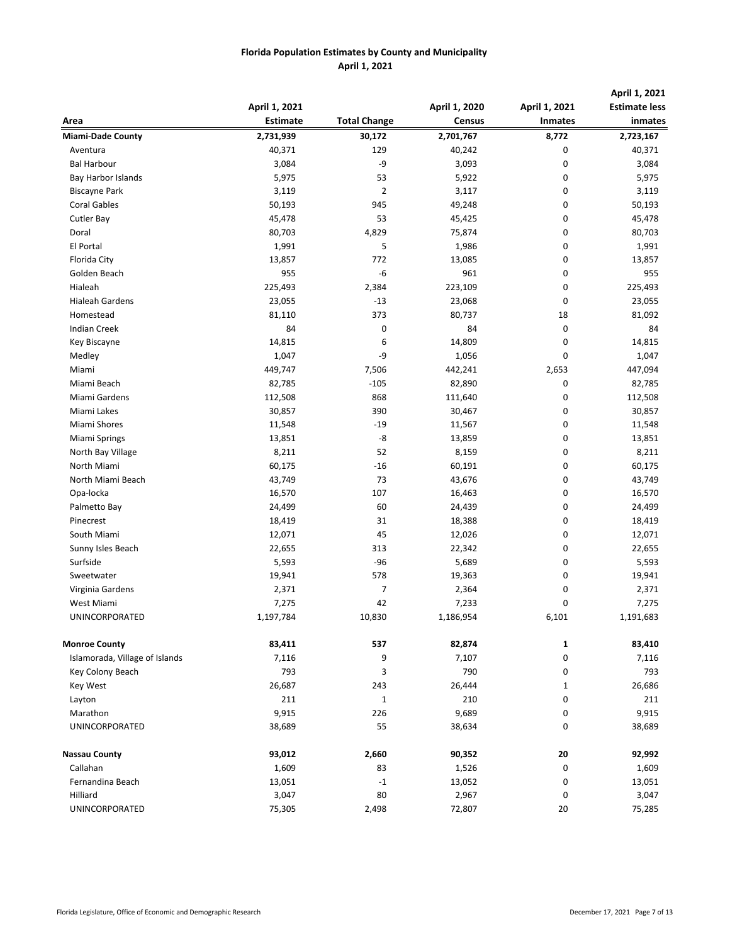|                                | April 1, 2021   |                     | April 1, 2020 | April 1, 2021  | April 1, 2021<br><b>Estimate less</b> |
|--------------------------------|-----------------|---------------------|---------------|----------------|---------------------------------------|
| Area                           | <b>Estimate</b> | <b>Total Change</b> | <b>Census</b> | <b>Inmates</b> | inmates                               |
| <b>Miami-Dade County</b>       | 2,731,939       | 30,172              | 2,701,767     | 8,772          | 2,723,167                             |
| Aventura                       | 40,371          | 129                 | 40,242        | 0              | 40,371                                |
| <b>Bal Harbour</b>             | 3,084           | -9                  | 3,093         | 0              | 3,084                                 |
| Bay Harbor Islands             | 5,975           | 53                  | 5,922         | 0              | 5,975                                 |
| <b>Biscayne Park</b>           | 3,119           | $\overline{2}$      | 3,117         | 0              | 3,119                                 |
| <b>Coral Gables</b>            | 50,193          | 945                 | 49,248        | 0              | 50,193                                |
| <b>Cutler Bay</b>              | 45,478          | 53                  | 45,425        | 0              | 45,478                                |
| Doral                          | 80,703          | 4,829               | 75,874        | 0              | 80,703                                |
| El Portal                      | 1,991           | 5                   | 1,986         | 0              | 1,991                                 |
| Florida City                   | 13,857          | 772                 | 13,085        | 0              | 13,857                                |
| Golden Beach                   | 955             | $-6$                | 961           | 0              | 955                                   |
| Hialeah                        | 225,493         | 2,384               | 223,109       | 0              | 225,493                               |
| <b>Hialeah Gardens</b>         | 23,055          | $-13$               | 23,068        | 0              | 23,055                                |
| Homestead                      | 81,110          | 373                 | 80,737        | 18             | 81,092                                |
| <b>Indian Creek</b>            | 84              | 0                   | 84            | 0              | 84                                    |
| Key Biscayne                   | 14,815          | 6                   | 14,809        | 0              | 14,815                                |
| Medley                         | 1,047           | -9                  | 1,056         | 0              | 1,047                                 |
| Miami                          | 449,747         | 7,506               | 442,241       | 2,653          | 447,094                               |
| Miami Beach                    | 82,785          | $-105$              | 82,890        | 0              | 82,785                                |
| Miami Gardens                  | 112,508         | 868                 | 111,640       | 0              | 112,508                               |
| Miami Lakes                    | 30,857          | 390                 | 30,467        | 0              | 30,857                                |
| Miami Shores                   | 11,548          | $-19$               | 11,567        | 0              | 11,548                                |
| <b>Miami Springs</b>           | 13,851          | -8                  | 13,859        | 0              | 13,851                                |
| North Bay Village              | 8,211           | 52                  | 8,159         | 0              | 8,211                                 |
| North Miami                    | 60,175          | $-16$               | 60,191        | 0              | 60,175                                |
| North Miami Beach              | 43,749          | 73                  | 43,676        | 0              | 43,749                                |
| Opa-locka                      | 16,570          | 107                 | 16,463        | 0              | 16,570                                |
| Palmetto Bay                   | 24,499          | 60                  | 24,439        | 0              | 24,499                                |
| Pinecrest                      | 18,419          | 31                  | 18,388        | 0              | 18,419                                |
| South Miami                    | 12,071          | 45                  | 12,026        | 0              | 12,071                                |
| Sunny Isles Beach              | 22,655          | 313                 | 22,342        | 0              | 22,655                                |
| Surfside                       | 5,593           | -96                 | 5,689         | 0              | 5,593                                 |
| Sweetwater                     | 19,941          | 578                 | 19,363        | 0              | 19,941                                |
| Virginia Gardens               | 2,371           | $\overline{7}$      | 2,364         | 0              | 2,371                                 |
| West Miami                     | 7,275           | 42                  | 7,233         | 0              | 7,275                                 |
| UNINCORPORATED                 | 1,197,784       | 10,830              | 1,186,954     | 6,101          | 1,191,683                             |
| <b>Monroe County</b>           | 83,411          | 537                 | 82,874        | $\mathbf{1}$   | 83,410                                |
| Islamorada, Village of Islands | 7,116           | 9                   | 7,107         | 0              | 7,116                                 |
| Key Colony Beach               | 793             | 3                   | 790           | 0              | 793                                   |
| Key West                       | 26,687          | 243                 | 26,444        | $\mathbf{1}$   | 26,686                                |
| Layton                         | 211             | $\mathbf{1}$        | 210           | 0              | 211                                   |
| Marathon                       | 9,915           | 226                 | 9,689         | 0              | 9,915                                 |
| <b>UNINCORPORATED</b>          | 38,689          | 55                  | 38,634        | 0              | 38,689                                |
| <b>Nassau County</b>           | 93,012          | 2,660               | 90,352        | 20             | 92,992                                |
| Callahan                       | 1,609           | 83                  | 1,526         | 0              | 1,609                                 |
| Fernandina Beach               | 13,051          | $-1$                | 13,052        | 0              | 13,051                                |
| Hilliard                       | 3,047           | 80                  | 2,967         | 0              | 3,047                                 |
| UNINCORPORATED                 | 75,305          | 2,498               | 72,807        | 20             | 75,285                                |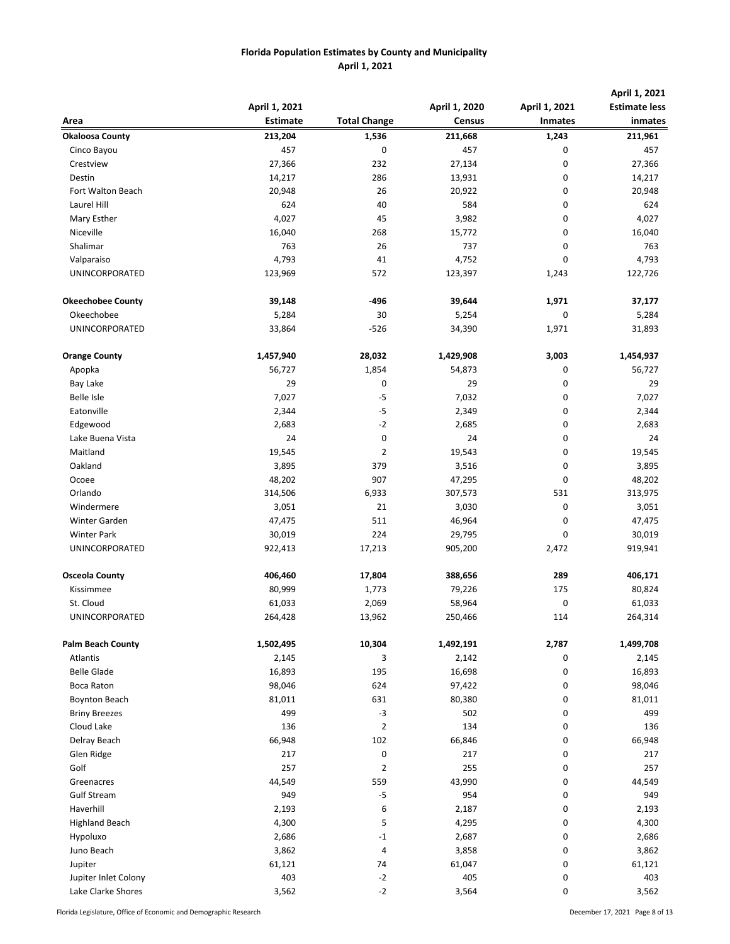| Area                     | April 1, 2021<br><b>Estimate</b> | <b>Total Change</b> | April 1, 2020<br><b>Census</b> | April 1, 2021<br><b>Inmates</b> | April 1, 2021<br><b>Estimate less</b><br>inmates |
|--------------------------|----------------------------------|---------------------|--------------------------------|---------------------------------|--------------------------------------------------|
| <b>Okaloosa County</b>   | 213,204                          | 1,536               | 211,668                        | 1,243                           | 211,961                                          |
| Cinco Bayou              | 457                              | 0                   | 457                            | 0                               | 457                                              |
| Crestview                | 27,366                           | 232                 | 27,134                         | 0                               | 27,366                                           |
| Destin                   | 14,217                           | 286                 | 13,931                         | 0                               | 14,217                                           |
| Fort Walton Beach        | 20,948                           | 26                  | 20,922                         | 0                               | 20,948                                           |
| Laurel Hill              | 624                              | 40                  | 584                            | 0                               | 624                                              |
| Mary Esther              | 4,027                            | 45                  | 3,982                          | 0                               | 4,027                                            |
| Niceville                | 16,040                           | 268                 | 15,772                         | 0                               | 16,040                                           |
| Shalimar                 | 763                              | 26                  | 737                            | $\mathbf 0$                     | 763                                              |
| Valparaiso               | 4,793                            | 41                  | 4,752                          | 0                               | 4,793                                            |
| UNINCORPORATED           | 123,969                          | 572                 | 123,397                        | 1,243                           | 122,726                                          |
|                          |                                  |                     |                                |                                 |                                                  |
| <b>Okeechobee County</b> | 39,148                           | -496                | 39,644                         | 1,971                           | 37,177                                           |
| Okeechobee               | 5,284                            | 30                  | 5,254                          | 0                               | 5,284                                            |
| <b>UNINCORPORATED</b>    | 33,864                           | $-526$              | 34,390                         | 1,971                           | 31,893                                           |
|                          |                                  |                     |                                |                                 |                                                  |
| <b>Orange County</b>     | 1,457,940                        | 28,032              | 1,429,908                      | 3,003                           | 1,454,937                                        |
| Apopka                   | 56,727                           | 1,854               | 54,873                         | 0                               | 56,727                                           |
| <b>Bay Lake</b>          | 29                               | 0                   | 29                             | 0                               | 29                                               |
| <b>Belle Isle</b>        | 7,027                            | $-5$                | 7,032                          | 0                               | 7,027                                            |
| Eatonville               | 2,344                            | $-5$                | 2,349                          | 0                               | 2,344                                            |
| Edgewood                 | 2,683                            | $-2$                | 2,685                          | 0                               | 2,683                                            |
| Lake Buena Vista         | 24                               | 0                   | 24                             | 0                               | 24                                               |
| Maitland                 | 19,545                           | $\mathbf{2}$        | 19,543                         | 0                               | 19,545                                           |
| Oakland                  | 3,895                            | 379                 | 3,516                          | 0                               | 3,895                                            |
| Ocoee                    | 48,202                           | 907                 | 47,295                         | 0                               | 48,202                                           |
| Orlando                  | 314,506                          | 6,933               | 307,573                        | 531                             | 313,975                                          |
| Windermere               | 3,051                            | 21                  | 3,030                          | 0                               | 3,051                                            |
| Winter Garden            | 47,475                           | 511                 | 46,964                         | 0                               | 47,475                                           |
| <b>Winter Park</b>       | 30,019                           | 224                 | 29,795                         | 0                               | 30,019                                           |
| UNINCORPORATED           | 922,413                          | 17,213              | 905,200                        | 2,472                           | 919,941                                          |
| <b>Osceola County</b>    | 406,460                          | 17,804              | 388,656                        | 289                             | 406,171                                          |
| Kissimmee                | 80,999                           | 1,773               | 79,226                         | 175                             | 80,824                                           |
| St. Cloud                | 61,033                           | 2,069               | 58,964                         | 0                               | 61,033                                           |
| UNINCORPORATED           | 264,428                          | 13,962              | 250,466                        | 114                             | 264,314                                          |
|                          |                                  |                     |                                |                                 |                                                  |
| <b>Palm Beach County</b> | 1,502,495                        | 10,304              | 1,492,191                      | 2,787                           | 1,499,708                                        |
| <b>Atlantis</b>          | 2,145                            | 3                   | 2,142                          | 0                               | 2,145                                            |
| <b>Belle Glade</b>       | 16,893                           | 195                 | 16,698                         | 0                               | 16,893                                           |
| Boca Raton               | 98,046                           | 624                 | 97,422                         | 0                               | 98,046                                           |
| <b>Boynton Beach</b>     | 81,011                           | 631                 | 80,380                         | 0                               | 81,011                                           |
| <b>Briny Breezes</b>     | 499                              | $-3$                | 502                            | 0                               | 499                                              |
| Cloud Lake               | 136                              | $\overline{2}$      | 134                            | 0                               | 136                                              |
| Delray Beach             | 66,948                           | 102                 | 66,846                         | 0                               | 66,948                                           |
| Glen Ridge               | 217                              | 0                   | 217                            | 0                               | 217                                              |
| Golf                     | 257                              | $\overline{2}$      | 255                            | 0                               | 257                                              |
| Greenacres               | 44,549                           | 559                 | 43,990                         | 0                               | 44,549                                           |
| <b>Gulf Stream</b>       | 949                              | $-5$                | 954                            | 0                               | 949                                              |
| Haverhill                | 2,193                            | 6                   | 2,187                          | 0                               | 2,193                                            |
| <b>Highland Beach</b>    | 4,300                            | 5                   | 4,295                          | 0                               | 4,300                                            |
| Hypoluxo                 | 2,686                            | -1                  | 2,687                          | 0                               | 2,686                                            |
| Juno Beach               | 3,862                            | 4                   | 3,858                          | 0                               | 3,862                                            |
| Jupiter                  | 61,121                           | 74                  | 61,047                         | 0                               | 61,121                                           |
| Jupiter Inlet Colony     | 403                              | $-2$                | 405                            | 0                               | 403                                              |
| Lake Clarke Shores       | 3,562                            | $-2$                | 3,564                          | 0                               | 3,562                                            |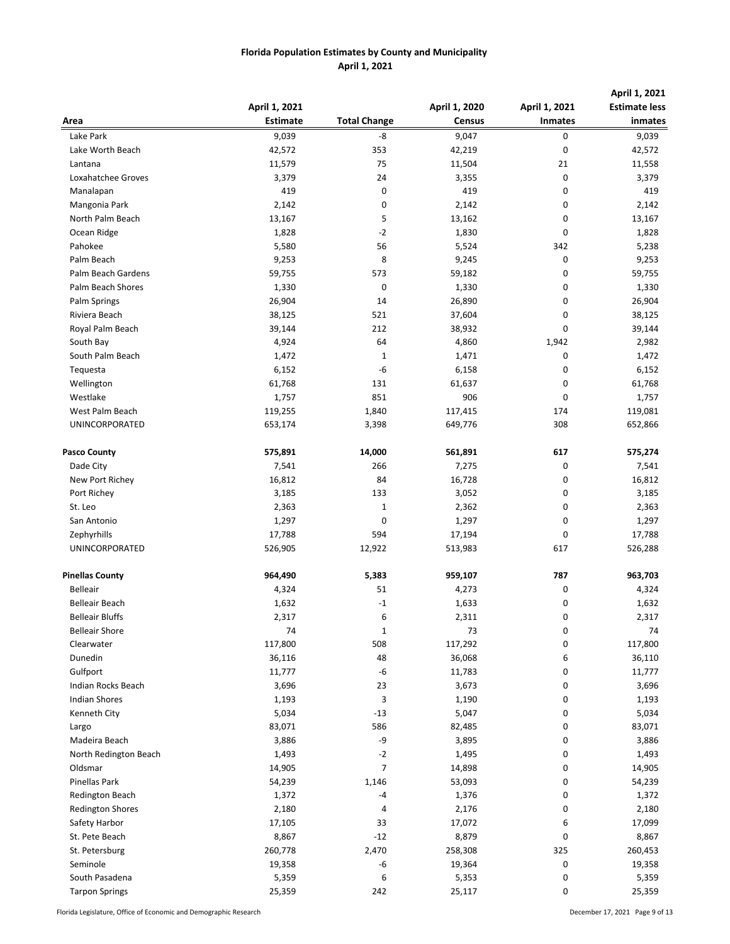| Area                    | April 1, 2021<br><b>Estimate</b> | <b>Total Change</b> | April 1, 2020<br><b>Census</b> | April 1, 2021                                                                                                                                                                                                                                                                                              | April 1, 2021<br><b>Estimate less</b><br>inmates |
|-------------------------|----------------------------------|---------------------|--------------------------------|------------------------------------------------------------------------------------------------------------------------------------------------------------------------------------------------------------------------------------------------------------------------------------------------------------|--------------------------------------------------|
| Lake Park               | 9,039                            | -8                  | 9,047                          | <b>Inmates</b><br>0<br>0<br>21<br>0<br>0<br>0<br>0<br>0<br>342<br>0<br>0<br>0<br>0<br>0<br>0<br>1,942<br>0<br>0<br>0<br>0<br>174<br>308<br>617<br>0<br>0<br>0<br>0<br>0<br>0<br>617<br>787<br>0<br>0<br>0<br>0<br>0<br>6<br>0<br>0<br>0<br>0<br>0<br>0<br>0<br>0<br>0<br>0<br>0<br>6<br>0<br>325<br>0<br>0 | 9,039                                            |
| Lake Worth Beach        | 42,572                           | 353                 | 42,219                         |                                                                                                                                                                                                                                                                                                            | 42,572                                           |
| Lantana                 | 11,579                           | 75                  | 11,504                         |                                                                                                                                                                                                                                                                                                            | 11,558                                           |
| Loxahatchee Groves      | 3,379                            | 24                  | 3,355                          |                                                                                                                                                                                                                                                                                                            | 3,379                                            |
| Manalapan               | 419                              | 0                   | 419                            |                                                                                                                                                                                                                                                                                                            | 419                                              |
| Mangonia Park           | 2,142                            | 0                   | 2,142                          |                                                                                                                                                                                                                                                                                                            | 2,142                                            |
| North Palm Beach        | 13,167                           | 5                   | 13,162                         |                                                                                                                                                                                                                                                                                                            | 13,167                                           |
| Ocean Ridge             | 1,828                            | $-2$                | 1,830                          |                                                                                                                                                                                                                                                                                                            | 1,828                                            |
| Pahokee                 | 5,580                            | 56                  | 5,524                          |                                                                                                                                                                                                                                                                                                            | 5,238                                            |
| Palm Beach              | 9,253                            | 8                   | 9,245                          |                                                                                                                                                                                                                                                                                                            | 9,253                                            |
| Palm Beach Gardens      | 59,755                           | 573                 | 59,182                         |                                                                                                                                                                                                                                                                                                            | 59,755                                           |
| Palm Beach Shores       | 1,330                            | 0                   | 1,330                          |                                                                                                                                                                                                                                                                                                            | 1,330                                            |
| Palm Springs            | 26,904                           | 14                  | 26,890                         |                                                                                                                                                                                                                                                                                                            | 26,904                                           |
| Riviera Beach           | 38,125                           | 521                 | 37,604                         |                                                                                                                                                                                                                                                                                                            | 38,125                                           |
| Royal Palm Beach        | 39,144                           | 212                 | 38,932                         |                                                                                                                                                                                                                                                                                                            | 39,144                                           |
| South Bay               |                                  | 64                  |                                |                                                                                                                                                                                                                                                                                                            |                                                  |
| South Palm Beach        | 4,924                            |                     | 4,860                          |                                                                                                                                                                                                                                                                                                            | 2,982                                            |
|                         | 1,472                            | 1<br>-6             | 1,471                          |                                                                                                                                                                                                                                                                                                            | 1,472                                            |
| Tequesta                | 6,152                            |                     | 6,158                          |                                                                                                                                                                                                                                                                                                            | 6,152                                            |
| Wellington              | 61,768                           | 131                 | 61,637                         |                                                                                                                                                                                                                                                                                                            | 61,768                                           |
| Westlake                | 1,757                            | 851                 | 906                            |                                                                                                                                                                                                                                                                                                            | 1,757                                            |
| West Palm Beach         | 119,255                          | 1,840               | 117,415                        |                                                                                                                                                                                                                                                                                                            | 119,081                                          |
| UNINCORPORATED          | 653,174                          | 3,398               | 649,776                        |                                                                                                                                                                                                                                                                                                            | 652,866                                          |
| <b>Pasco County</b>     | 575,891                          | 14,000              | 561,891                        |                                                                                                                                                                                                                                                                                                            | 575,274                                          |
| Dade City               | 7,541                            | 266                 | 7,275                          |                                                                                                                                                                                                                                                                                                            | 7,541                                            |
| New Port Richey         | 16,812                           | 84                  | 16,728                         |                                                                                                                                                                                                                                                                                                            | 16,812                                           |
| Port Richey             | 3,185                            | 133                 | 3,052                          |                                                                                                                                                                                                                                                                                                            | 3,185                                            |
| St. Leo                 | 2,363                            | $\mathbf{1}$        | 2,362                          |                                                                                                                                                                                                                                                                                                            | 2,363                                            |
| San Antonio             | 1,297                            | 0                   | 1,297                          |                                                                                                                                                                                                                                                                                                            | 1,297                                            |
| Zephyrhills             | 17,788                           | 594                 | 17,194                         |                                                                                                                                                                                                                                                                                                            | 17,788                                           |
| UNINCORPORATED          | 526,905                          | 12,922              | 513,983                        |                                                                                                                                                                                                                                                                                                            | 526,288                                          |
| <b>Pinellas County</b>  | 964,490                          | 5,383               | 959,107                        |                                                                                                                                                                                                                                                                                                            | 963,703                                          |
| <b>Belleair</b>         | 4,324                            | 51                  | 4,273                          |                                                                                                                                                                                                                                                                                                            | 4,324                                            |
| <b>Belleair Beach</b>   | 1,632                            | $-1$                | 1,633                          |                                                                                                                                                                                                                                                                                                            | 1,632                                            |
| <b>Belleair Bluffs</b>  | 2,317                            | 6                   | 2,311                          |                                                                                                                                                                                                                                                                                                            | 2,317                                            |
| <b>Belleair Shore</b>   | 74                               | 1                   | 73                             |                                                                                                                                                                                                                                                                                                            | 74                                               |
| Clearwater              | 117,800                          | 508                 | 117,292                        |                                                                                                                                                                                                                                                                                                            | 117,800                                          |
| Dunedin                 | 36,116                           | 48                  | 36,068                         |                                                                                                                                                                                                                                                                                                            | 36,110                                           |
| Gulfport                | 11,777                           | $-6$                | 11,783                         |                                                                                                                                                                                                                                                                                                            | 11,777                                           |
| Indian Rocks Beach      | 3,696                            | 23                  | 3,673                          |                                                                                                                                                                                                                                                                                                            | 3,696                                            |
| <b>Indian Shores</b>    | 1,193                            | 3                   | 1,190                          |                                                                                                                                                                                                                                                                                                            | 1,193                                            |
| Kenneth City            | 5,034                            | $-13$               | 5,047                          |                                                                                                                                                                                                                                                                                                            | 5,034                                            |
| Largo                   | 83,071                           | 586                 | 82,485                         |                                                                                                                                                                                                                                                                                                            | 83,071                                           |
| Madeira Beach           | 3,886                            | -9                  | 3,895                          |                                                                                                                                                                                                                                                                                                            | 3,886                                            |
| North Redington Beach   | 1,493                            | $-2$                | 1,495                          |                                                                                                                                                                                                                                                                                                            | 1,493                                            |
| Oldsmar                 | 14,905                           | 7                   | 14,898                         |                                                                                                                                                                                                                                                                                                            | 14,905                                           |
| Pinellas Park           | 54,239                           | 1,146               | 53,093                         |                                                                                                                                                                                                                                                                                                            | 54,239                                           |
| <b>Redington Beach</b>  | 1,372                            | -4                  | 1,376                          |                                                                                                                                                                                                                                                                                                            | 1,372                                            |
| <b>Redington Shores</b> | 2,180                            | 4                   | 2,176                          |                                                                                                                                                                                                                                                                                                            | 2,180                                            |
| Safety Harbor           | 17,105                           | 33                  | 17,072                         |                                                                                                                                                                                                                                                                                                            | 17,099                                           |
| St. Pete Beach          | 8,867                            | $-12$               | 8,879                          |                                                                                                                                                                                                                                                                                                            | 8,867                                            |
| St. Petersburg          | 260,778                          | 2,470               | 258,308                        |                                                                                                                                                                                                                                                                                                            | 260,453                                          |
| Seminole                | 19,358                           | -6                  | 19,364                         |                                                                                                                                                                                                                                                                                                            | 19,358                                           |
| South Pasadena          | 5,359                            | 6                   | 5,353                          |                                                                                                                                                                                                                                                                                                            | 5,359                                            |
| <b>Tarpon Springs</b>   | 25,359                           | 242                 | 25,117                         | 0                                                                                                                                                                                                                                                                                                          | 25,359                                           |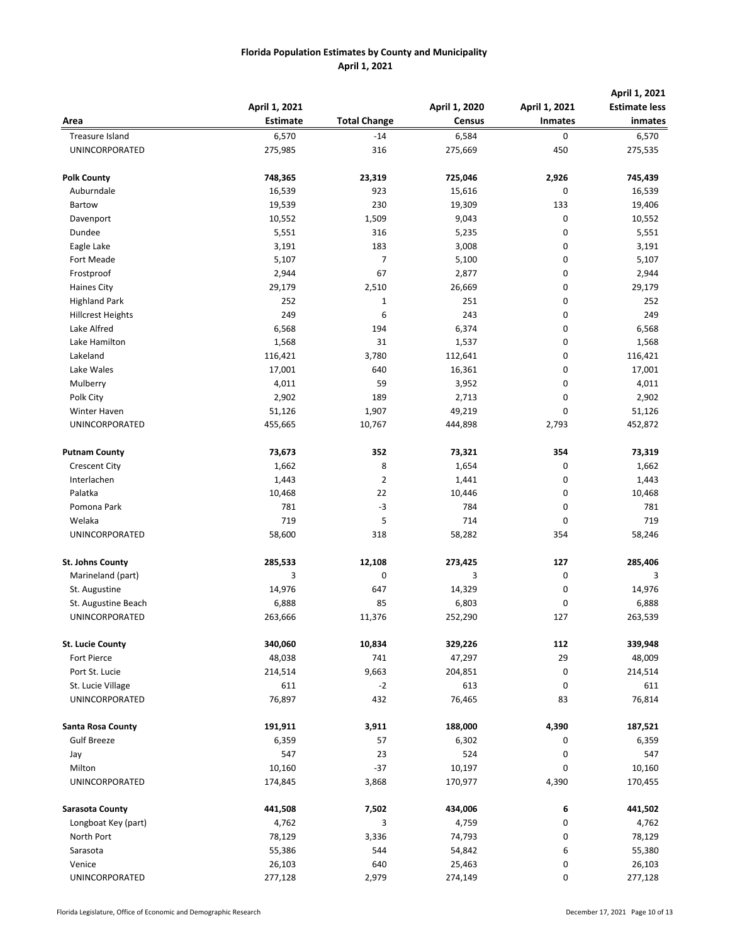|                          |                 |                     |               |                | April 1, 2021        |
|--------------------------|-----------------|---------------------|---------------|----------------|----------------------|
|                          | April 1, 2021   |                     | April 1, 2020 | April 1, 2021  | <b>Estimate less</b> |
| Area                     | <b>Estimate</b> | <b>Total Change</b> | <b>Census</b> | <b>Inmates</b> | inmates              |
| Treasure Island          | 6,570           | $-14$               | 6,584         | 0              | 6,570                |
| UNINCORPORATED           | 275,985         | 316                 | 275,669       | 450            | 275,535              |
| <b>Polk County</b>       | 748,365         | 23,319              | 725,046       | 2,926          | 745,439              |
| Auburndale               | 16,539          | 923                 | 15,616        | 0              | 16,539               |
| Bartow                   | 19,539          | 230                 | 19,309        | 133            | 19,406               |
| Davenport                | 10,552          | 1,509               | 9,043         | 0              | 10,552               |
| Dundee                   | 5,551           | 316                 | 5,235         | 0              | 5,551                |
| Eagle Lake               | 3,191           | 183                 | 3,008         | 0              | 3,191                |
| Fort Meade               | 5,107           | 7                   | 5,100         | 0              | 5,107                |
| Frostproof               | 2,944           | 67                  | 2,877         | 0              | 2,944                |
| <b>Haines City</b>       | 29,179          | 2,510               | 26,669        | 0              | 29,179               |
| <b>Highland Park</b>     | 252             | 1                   | 251           | 0              | 252                  |
| <b>Hillcrest Heights</b> | 249             | 6                   | 243           | 0              | 249                  |
| Lake Alfred              | 6,568           | 194                 | 6,374         | 0              | 6,568                |
| Lake Hamilton            | 1,568           | 31                  | 1,537         | 0              | 1,568                |
| Lakeland                 | 116,421         | 3,780               | 112,641       | 0              | 116,421              |
| Lake Wales               | 17,001          | 640                 | 16,361        | 0              | 17,001               |
| Mulberry                 | 4,011           | 59                  | 3,952         | 0              | 4,011                |
| Polk City                | 2,902           | 189                 | 2,713         | 0              | 2,902                |
| <b>Winter Haven</b>      | 51,126          | 1,907               | 49,219        | 0              | 51,126               |
| <b>UNINCORPORATED</b>    | 455,665         | 10,767              | 444,898       | 2,793          | 452,872              |
| <b>Putnam County</b>     | 73,673          | 352                 | 73,321        | 354            | 73,319               |
| <b>Crescent City</b>     | 1,662           | 8                   | 1,654         | 0              | 1,662                |
| Interlachen              | 1,443           | 2                   | 1,441         | 0              | 1,443                |
| Palatka                  | 10,468          | 22                  | 10,446        | 0              | 10,468               |
| Pomona Park              | 781             | $-3$                | 784           | 0              | 781                  |
| Welaka                   | 719             | 5                   | 714           | 0              | 719                  |
| UNINCORPORATED           | 58,600          | 318                 | 58,282        | 354            | 58,246               |
| St. Johns County         | 285,533         | 12,108              | 273,425       | 127            | 285,406              |
| Marineland (part)        | 3               | 0                   | 3             | 0              | 3                    |
| St. Augustine            | 14,976          | 647                 | 14,329        | 0              | 14,976               |
| St. Augustine Beach      | 6,888           | 85                  | 6,803         | 0              | 6,888                |
| UNINCORPORATED           | 263,666         | 11,376              | 252,290       | 127            | 263,539              |
| <b>St. Lucie County</b>  | 340,060         | 10,834              | 329,226       | 112            | 339,948              |
| Fort Pierce              | 48,038          | 741                 | 47,297        | 29             | 48,009               |
| Port St. Lucie           | 214,514         | 9,663               | 204,851       | 0              | 214,514              |
| St. Lucie Village        | 611             | $-2$                | 613           | 0              | 611                  |
| UNINCORPORATED           | 76,897          | 432                 | 76,465        | 83             | 76,814               |
| Santa Rosa County        | 191,911         | 3,911               | 188,000       | 4,390          | 187,521              |
| <b>Gulf Breeze</b>       | 6,359           | 57                  | 6,302         | 0              | 6,359                |
| Jay                      | 547             | 23                  | 524           | 0              | 547                  |
| Milton                   | 10,160          | $-37$               | 10,197        | 0              | 10,160               |
| UNINCORPORATED           | 174,845         | 3,868               | 170,977       | 4,390          | 170,455              |
| <b>Sarasota County</b>   | 441,508         | 7,502               | 434,006       | 6              | 441,502              |
| Longboat Key (part)      | 4,762           | 3                   | 4,759         | 0              | 4,762                |
| North Port               | 78,129          | 3,336               | 74,793        | 0              | 78,129               |
| Sarasota                 | 55,386          | 544                 | 54,842        | 6              | 55,380               |
| Venice                   | 26,103          | 640                 | 25,463        | 0              | 26,103               |
| UNINCORPORATED           | 277,128         | 2,979               | 274,149       | 0              | 277,128              |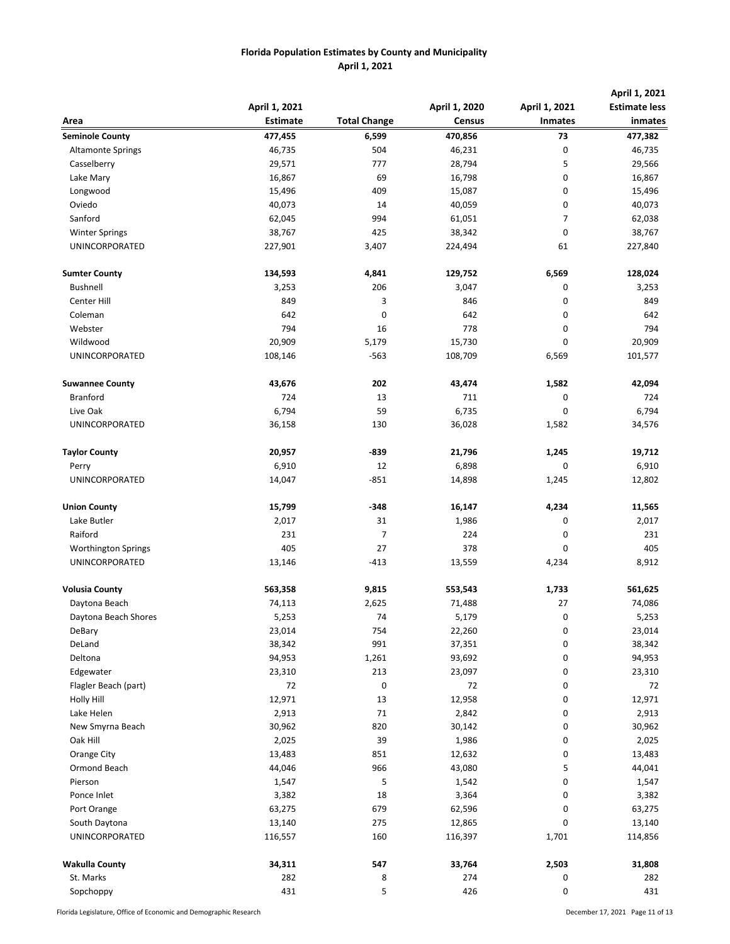|                            |                 |                     |               |                                                                                                                                                                                                                                                                                                                                             | April 1, 2021        |  |
|----------------------------|-----------------|---------------------|---------------|---------------------------------------------------------------------------------------------------------------------------------------------------------------------------------------------------------------------------------------------------------------------------------------------------------------------------------------------|----------------------|--|
|                            | April 1, 2021   |                     | April 1, 2020 |                                                                                                                                                                                                                                                                                                                                             | <b>Estimate less</b> |  |
| Area                       | <b>Estimate</b> | <b>Total Change</b> | <b>Census</b> | April 1, 2021<br><b>Inmates</b><br>73<br>0<br>5<br>0<br>0<br>0<br>7<br>$\pmb{0}$<br>61<br>6,569<br>0<br>0<br>0<br>0<br>0<br>6,569<br>1,582<br>0<br>0<br>1,582<br>1,245<br>0<br>1,245<br>4,234<br>0<br>0<br>0<br>4,234<br>1,733<br>27<br>0<br>0<br>0<br>0<br>0<br>0<br>0<br>0<br>0<br>0<br>0<br>5<br>0<br>0<br>0<br>0<br>1,701<br>2,503<br>0 | inmates              |  |
| <b>Seminole County</b>     | 477,455         | 6,599               | 470,856       |                                                                                                                                                                                                                                                                                                                                             | 477,382              |  |
| <b>Altamonte Springs</b>   | 46,735          | 504                 | 46,231        |                                                                                                                                                                                                                                                                                                                                             | 46,735               |  |
| Casselberry                | 29,571          | 777                 | 28,794        |                                                                                                                                                                                                                                                                                                                                             | 29,566               |  |
| Lake Mary                  | 16,867          | 69                  | 16,798        |                                                                                                                                                                                                                                                                                                                                             | 16,867               |  |
| Longwood                   | 15,496          | 409                 | 15,087        |                                                                                                                                                                                                                                                                                                                                             | 15,496               |  |
| Oviedo                     | 40,073          | 14                  | 40,059        |                                                                                                                                                                                                                                                                                                                                             | 40,073               |  |
| Sanford                    | 62,045          | 994                 | 61,051        |                                                                                                                                                                                                                                                                                                                                             | 62,038               |  |
| <b>Winter Springs</b>      | 38,767          | 425                 | 38,342        |                                                                                                                                                                                                                                                                                                                                             | 38,767               |  |
| UNINCORPORATED             | 227,901         | 3,407               | 224,494       |                                                                                                                                                                                                                                                                                                                                             | 227,840              |  |
| <b>Sumter County</b>       | 134,593         | 4,841               | 129,752       |                                                                                                                                                                                                                                                                                                                                             | 128,024              |  |
| Bushnell                   | 3,253           | 206                 | 3,047         |                                                                                                                                                                                                                                                                                                                                             | 3,253                |  |
| <b>Center Hill</b>         | 849             | 3                   | 846           |                                                                                                                                                                                                                                                                                                                                             | 849                  |  |
| Coleman                    | 642             | $\mathbf 0$         | 642           |                                                                                                                                                                                                                                                                                                                                             | 642                  |  |
| Webster                    | 794             | 16                  | 778           |                                                                                                                                                                                                                                                                                                                                             | 794                  |  |
| Wildwood                   | 20,909          | 5,179               | 15,730        |                                                                                                                                                                                                                                                                                                                                             | 20,909               |  |
| UNINCORPORATED             | 108,146         | $-563$              | 108,709       |                                                                                                                                                                                                                                                                                                                                             | 101,577              |  |
| <b>Suwannee County</b>     | 43,676          | 202                 | 43,474        |                                                                                                                                                                                                                                                                                                                                             | 42,094               |  |
| <b>Branford</b>            | 724             | 13                  | 711           |                                                                                                                                                                                                                                                                                                                                             | 724                  |  |
| Live Oak                   | 6,794           | 59                  | 6,735         |                                                                                                                                                                                                                                                                                                                                             | 6,794                |  |
| UNINCORPORATED             | 36,158          | 130                 | 36,028        |                                                                                                                                                                                                                                                                                                                                             | 34,576               |  |
| <b>Taylor County</b>       | 20,957          | -839                | 21,796        |                                                                                                                                                                                                                                                                                                                                             | 19,712               |  |
| Perry                      | 6,910           | 12                  | 6,898         |                                                                                                                                                                                                                                                                                                                                             | 6,910                |  |
| UNINCORPORATED             | 14,047          | $-851$              | 14,898        |                                                                                                                                                                                                                                                                                                                                             | 12,802               |  |
| <b>Union County</b>        | 15,799          | $-348$              | 16,147        |                                                                                                                                                                                                                                                                                                                                             | 11,565               |  |
| Lake Butler                | 2,017           | 31                  | 1,986         |                                                                                                                                                                                                                                                                                                                                             | 2,017                |  |
| Raiford                    | 231             | $\overline{7}$      | 224           |                                                                                                                                                                                                                                                                                                                                             | 231                  |  |
| <b>Worthington Springs</b> | 405             | 27                  | 378           |                                                                                                                                                                                                                                                                                                                                             | 405                  |  |
| UNINCORPORATED             | 13,146          | $-413$              | 13,559        |                                                                                                                                                                                                                                                                                                                                             | 8,912                |  |
| <b>Volusia County</b>      | 563,358         | 9,815               | 553,543       |                                                                                                                                                                                                                                                                                                                                             | 561,625              |  |
| Daytona Beach              | 74,113          | 2,625               | 71,488        |                                                                                                                                                                                                                                                                                                                                             | 74,086               |  |
| Daytona Beach Shores       | 5,253           | 74                  | 5,179         |                                                                                                                                                                                                                                                                                                                                             | 5,253                |  |
| DeBary                     | 23,014          | 754                 | 22,260        |                                                                                                                                                                                                                                                                                                                                             | 23,014               |  |
| DeLand                     | 38,342          | 991                 | 37,351        |                                                                                                                                                                                                                                                                                                                                             | 38,342               |  |
| Deltona                    | 94,953          | 1,261               | 93,692        |                                                                                                                                                                                                                                                                                                                                             | 94,953               |  |
| Edgewater                  | 23,310          | 213                 | 23,097        |                                                                                                                                                                                                                                                                                                                                             | 23,310               |  |
| Flagler Beach (part)       | 72              | 0                   | 72            |                                                                                                                                                                                                                                                                                                                                             | 72                   |  |
| Holly Hill                 | 12,971          | 13                  | 12,958        |                                                                                                                                                                                                                                                                                                                                             | 12,971               |  |
| Lake Helen                 | 2,913           | 71                  | 2,842         |                                                                                                                                                                                                                                                                                                                                             | 2,913                |  |
| New Smyrna Beach           | 30,962          | 820                 | 30,142        |                                                                                                                                                                                                                                                                                                                                             | 30,962               |  |
| Oak Hill                   | 2,025           | 39                  | 1,986         |                                                                                                                                                                                                                                                                                                                                             | 2,025                |  |
| Orange City                | 13,483          | 851                 | 12,632        |                                                                                                                                                                                                                                                                                                                                             | 13,483               |  |
| Ormond Beach               | 44,046          | 966                 | 43,080        |                                                                                                                                                                                                                                                                                                                                             | 44,041               |  |
| Pierson                    | 1,547           | 5                   | 1,542         |                                                                                                                                                                                                                                                                                                                                             | 1,547                |  |
| Ponce Inlet                | 3,382           | 18                  | 3,364         |                                                                                                                                                                                                                                                                                                                                             | 3,382                |  |
| Port Orange                | 63,275          | 679                 | 62,596        |                                                                                                                                                                                                                                                                                                                                             | 63,275               |  |
| South Daytona              | 13,140          | 275                 | 12,865        |                                                                                                                                                                                                                                                                                                                                             | 13,140               |  |
| UNINCORPORATED             | 116,557         | 160                 | 116,397       |                                                                                                                                                                                                                                                                                                                                             | 114,856              |  |
| <b>Wakulla County</b>      | 34,311          | 547                 | 33,764        |                                                                                                                                                                                                                                                                                                                                             | 31,808               |  |
| St. Marks                  | 282             | 8                   | 274           |                                                                                                                                                                                                                                                                                                                                             | 282                  |  |
| Sopchoppy                  | 431             | 5                   | 426           | 0                                                                                                                                                                                                                                                                                                                                           | 431                  |  |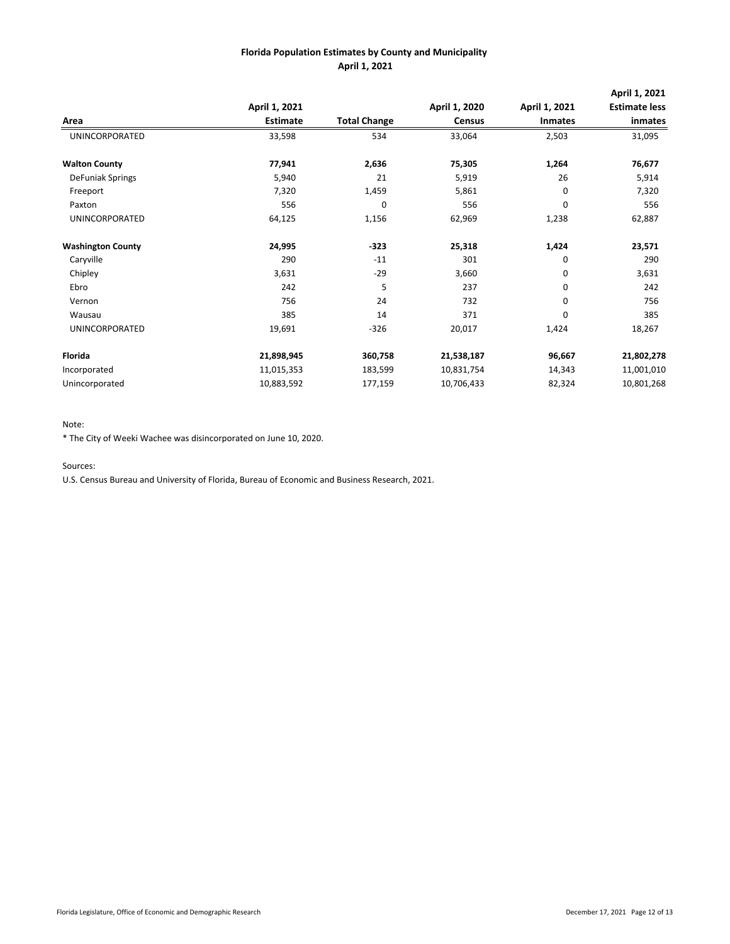|                          |                 |                     |               |                | April 1, 2021        |
|--------------------------|-----------------|---------------------|---------------|----------------|----------------------|
|                          | April 1, 2021   |                     | April 1, 2020 | April 1, 2021  | <b>Estimate less</b> |
| Area                     | <b>Estimate</b> | <b>Total Change</b> | <b>Census</b> | <b>Inmates</b> | inmates              |
| UNINCORPORATED           | 33,598          | 534                 | 33,064        | 2,503          | 31,095               |
| <b>Walton County</b>     | 77,941          | 2,636               | 75,305        | 1,264          | 76,677               |
| DeFuniak Springs         | 5,940           | 21                  | 5,919         | 26             | 5,914                |
| Freeport                 | 7,320           | 1,459               | 5,861         | 0              | 7,320                |
| Paxton                   | 556             | 0                   | 556           | 0              | 556                  |
| UNINCORPORATED           | 64,125          | 1,156               | 62,969        | 1,238          | 62,887               |
| <b>Washington County</b> | 24,995          | $-323$              | 25,318        | 1,424          | 23,571               |
| Caryville                | 290             | $-11$               | 301           | 0              | 290                  |
| Chipley                  | 3,631           | $-29$               | 3,660         | 0              | 3,631                |
| Ebro                     | 242             | 5                   | 237           | 0              | 242                  |
| Vernon                   | 756             | 24                  | 732           | 0              | 756                  |
| Wausau                   | 385             | 14                  | 371           | 0              | 385                  |
| UNINCORPORATED           | 19,691          | $-326$              | 20,017        | 1,424          | 18,267               |
| Florida                  | 21,898,945      | 360,758             | 21,538,187    | 96,667         | 21,802,278           |
| Incorporated             | 11,015,353      | 183,599             | 10,831,754    | 14,343         | 11,001,010           |
| Unincorporated           | 10,883,592      | 177,159             | 10,706,433    | 82,324         | 10,801,268           |

#### Note:

\* The City of Weeki Wachee was disincorporated on June 10, 2020.

Sources:

U.S. Census Bureau and University of Florida, Bureau of Economic and Business Research, 2021.